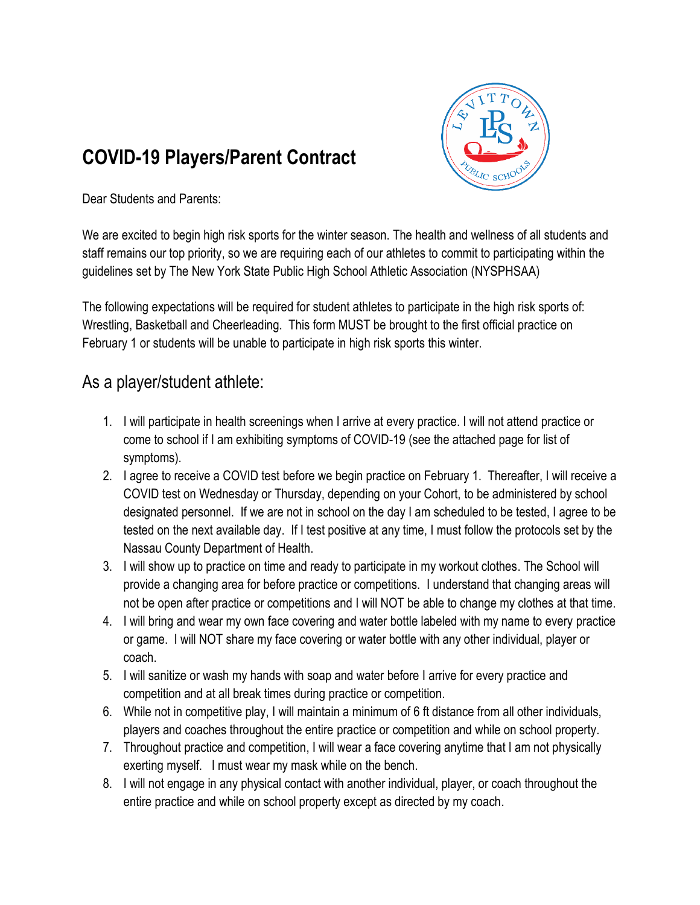## **COVID-19 Players/Parent Contract**



Dear Students and Parents:

We are excited to begin high risk sports for the winter season. The health and wellness of all students and staff remains our top priority, so we are requiring each of our athletes to commit to participating within the guidelines set by The New York State Public High School Athletic Association (NYSPHSAA)

The following expectations will be required for student athletes to participate in the high risk sports of: Wrestling, Basketball and Cheerleading. This form MUST be brought to the first official practice on February 1 or students will be unable to participate in high risk sports this winter.

## As a player/student athlete:

- 1. I will participate in health screenings when I arrive at every practice. I will not attend practice or come to school if I am exhibiting symptoms of COVID-19 (see the attached page for list of symptoms).
- 2. I agree to receive a COVID test before we begin practice on February 1. Thereafter, I will receive a COVID test on Wednesday or Thursday, depending on your Cohort, to be administered by school designated personnel. If we are not in school on the day I am scheduled to be tested, I agree to be tested on the next available day. If I test positive at any time, I must follow the protocols set by the Nassau County Department of Health.
- 3. I will show up to practice on time and ready to participate in my workout clothes. The School will provide a changing area for before practice or competitions. I understand that changing areas will not be open after practice or competitions and I will NOT be able to change my clothes at that time.
- 4. I will bring and wear my own face covering and water bottle labeled with my name to every practice or game. I will NOT share my face covering or water bottle with any other individual, player or coach.
- 5. I will sanitize or wash my hands with soap and water before I arrive for every practice and competition and at all break times during practice or competition.
- 6. While not in competitive play, I will maintain a minimum of 6 ft distance from all other individuals, players and coaches throughout the entire practice or competition and while on school property.
- 7. Throughout practice and competition, I will wear a face covering anytime that I am not physically exerting myself. I must wear my mask while on the bench.
- 8. I will not engage in any physical contact with another individual, player, or coach throughout the entire practice and while on school property except as directed by my coach.